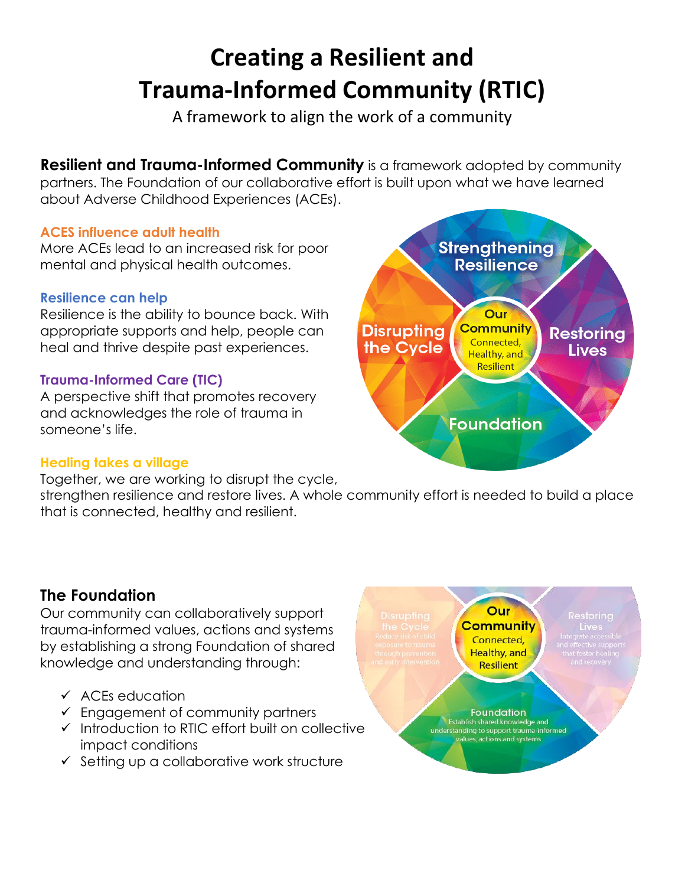# **Creating a Resilient and Trauma-Informed Community (RTIC)**

A framework to align the work of a community

**Resilient and Trauma-Informed Community** is a framework adopted by community partners. The Foundation of our collaborative effort is built upon what we have learned about Adverse Childhood Experiences (ACEs).

#### **ACES influence adult health**

More ACEs lead to an increased risk for poor mental and physical health outcomes.

### **Resilience can help**

Resilience is the ability to bounce back. With appropriate supports and help, people can heal and thrive despite past experiences.

### **Trauma-Informed Care (TIC)**

A perspective shift that promotes recovery and acknowledges the role of trauma in someone's life.

## **Healing takes a village**

Together, we are working to disrupt the cycle,

strengthen resilience and restore lives. A whole community effort is needed to build a place that is connected, healthy and resilient.

## **The Foundation**

Our community can collaboratively support trauma-informed values, actions and systems by establishing a strong Foundation of shared knowledge and understanding through:

- ✓ ACEs education
- ✓ Engagement of community partners
- ✓ Introduction to RTIC effort built on collective impact conditions
- ✓ Setting up a collaborative work structure



Our **Community** Connected, **Healthy, and Resilient** 

Foundation Establish shared knowledge and understanding to support trauma-informed alues, actions and systems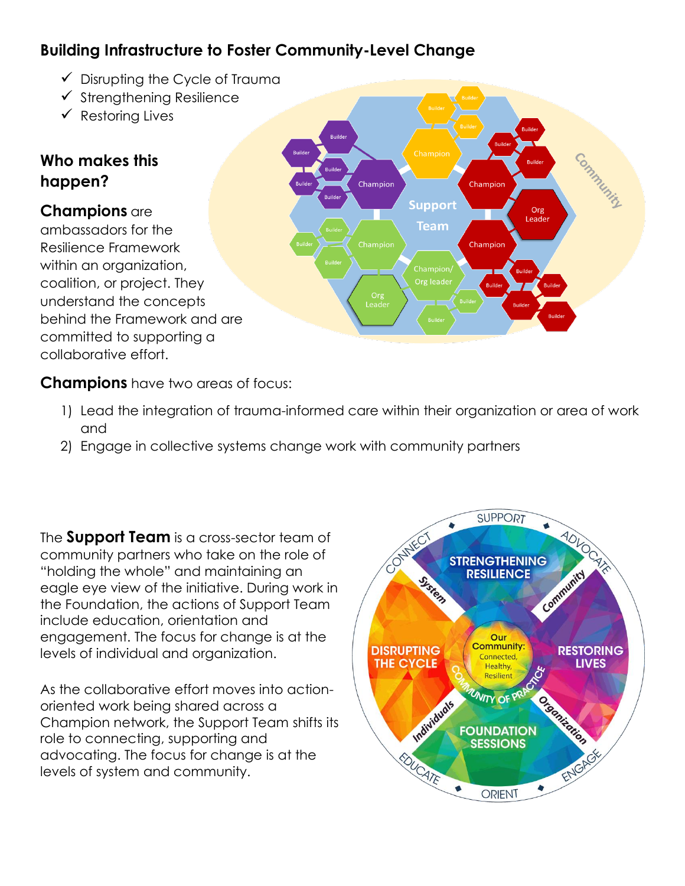# **Building Infrastructure to Foster Community-Level Change**

- $\checkmark$  Disrupting the Cycle of Trauma
- ✓ Strengthening Resilience
- ✓ Restoring Lives

## **Who makes this happen?**

## **Champions** are

ambassadors for the Resilience Framework within an organization, coalition, or project. They understand the concepts behind the Framework and are committed to supporting a collaborative effort.



**Champions** have two areas of focus:

- 1) Lead the integration of trauma-informed care within their organization or area of work and
- 2) Engage in collective systems change work with community partners

The **Support Team** is a cross-sector team of community partners who take on the role of "holding the whole" and maintaining an eagle eye view of the initiative. During work in the Foundation, the actions of Support Team include education, orientation and engagement. The focus for change is at the levels of individual and organization.

As the collaborative effort moves into actionoriented work being shared across a Champion network, the Support Team shifts its role to connecting, supporting and advocating. The focus for change is at the levels of system and community.